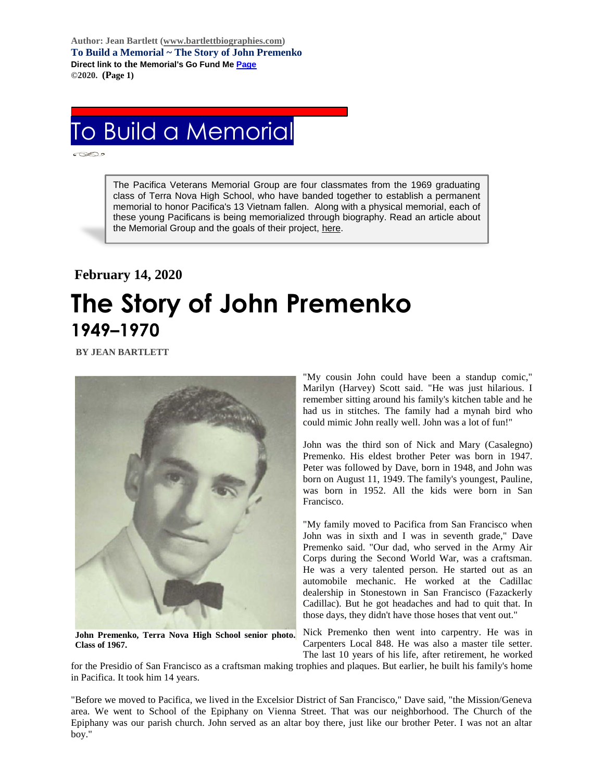**Author: Jean Bartlett [\(www.bartlettbiographies.com\)](http://www.bartlettbiographies.com/) To Build a Memorial ~ The Story of John Premenko Direct link to the Memorial's Go Fund M[e Page](https://www.gofundme.com/f/uyf8r-25000?utm_source=customer&utm_medium=copy_link-tip&utm_campaign=p_cp+share-sheet) ©2020. (Page 1)**

## To Build a Memorial

The Pacifica Veterans Memorial Group are four classmates from the 1969 graduating class of Terra Nova High School, who have banded together to establish a permanent memorial to honor Pacifica's 13 Vietnam fallen. Along with a physical memorial, each of these young Pacificans is being memorialized through biography. Read an article about the Memorial Group and the goals of their project, [here.](https://46d14119-b42d-469c-887f-083db2a10fe7.filesusr.com/ugd/5ea9c3_694b61f9c88d4750bf1a520233e8f35f.pdf)

## **February 14, 2020 The Story of John Premenko 1949–1970**

 **BY JEAN BARTLETT**



**John Premenko, Terra Nova High School senior photo. Class of 1967.**

"My cousin John could have been a standup comic," Marilyn (Harvey) Scott said. "He was just hilarious. I remember sitting around his family's kitchen table and he had us in stitches. The family had a mynah bird who could mimic John really well. John was a lot of fun!"

John was the third son of Nick and Mary (Casalegno) Premenko. His eldest brother Peter was born in 1947. Peter was followed by Dave, born in 1948, and John was born on August 11, 1949. The family's youngest, Pauline, was born in 1952. All the kids were born in San Francisco.

"My family moved to Pacifica from San Francisco when John was in sixth and I was in seventh grade," Dave Premenko said. "Our dad, who served in the Army Air Corps during the Second World War, was a craftsman. He was a very talented person. He started out as an automobile mechanic. He worked at the Cadillac dealership in Stonestown in San Francisco (Fazackerly Cadillac). But he got headaches and had to quit that. In those days, they didn't have those hoses that vent out."

Nick Premenko then went into carpentry. He was in Carpenters Local 848. He was also a master tile setter. The last 10 years of his life, after retirement, he worked

for the Presidio of San Francisco as a craftsman making trophies and plaques. But earlier, he built his family's home in Pacifica. It took him 14 years.

"Before we moved to Pacifica, we lived in the Excelsior District of San Francisco," Dave said, "the Mission/Geneva area. We went to School of the Epiphany on Vienna Street. That was our neighborhood. The Church of the Epiphany was our parish church. John served as an altar boy there, just like our brother Peter. I was not an altar boy."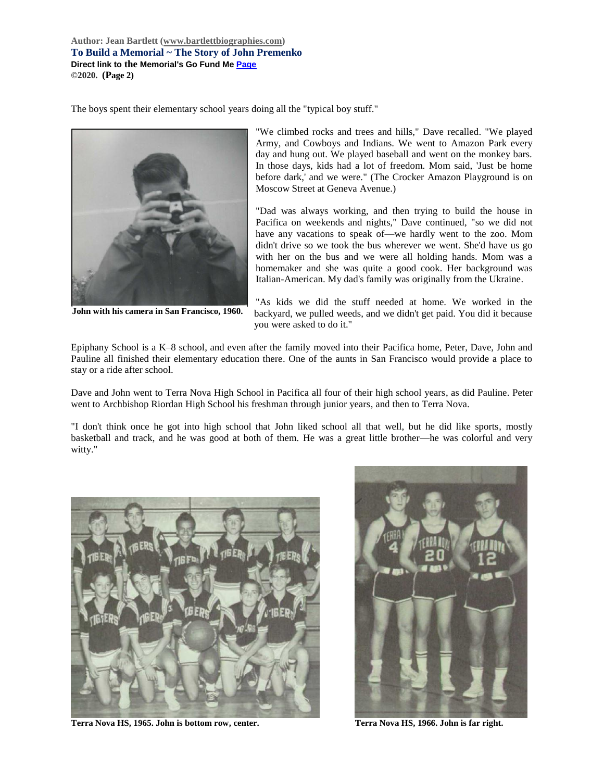**Author: Jean Bartlett [\(www.bartlettbiographies.com\)](http://www.bartlettbiographies.com/) To Build a Memorial ~ The Story of John Premenko Direct link to the Memorial's Go Fund M[e Page](https://www.gofundme.com/f/uyf8r-25000?utm_source=customer&utm_medium=copy_link-tip&utm_campaign=p_cp+share-sheet) ©2020. (Page 2)**

The boys spent their elementary school years doing all the "typical boy stuff."



**John with his camera in San Francisco, 1960.**

"We climbed rocks and trees and hills," Dave recalled. "We played Army, and Cowboys and Indians. We went to Amazon Park every day and hung out. We played baseball and went on the monkey bars. In those days, kids had a lot of freedom. Mom said, 'Just be home before dark,' and we were." (The Crocker Amazon Playground is on Moscow Street at Geneva Avenue.)

"Dad was always working, and then trying to build the house in Pacifica on weekends and nights," Dave continued, "so we did not have any vacations to speak of—we hardly went to the zoo. Mom didn't drive so we took the bus wherever we went. She'd have us go with her on the bus and we were all holding hands. Mom was a homemaker and she was quite a good cook. Her background was Italian-American. My dad's family was originally from the Ukraine.

"As kids we did the stuff needed at home. We worked in the backyard, we pulled weeds, and we didn't get paid. You did it because you were asked to do it."

Epiphany School is a K–8 school, and even after the family moved into their Pacifica home, Peter, Dave, John and Pauline all finished their elementary education there. One of the aunts in San Francisco would provide a place to stay or a ride after school.

Dave and John went to Terra Nova High School in Pacifica all four of their high school years, as did Pauline. Peter went to Archbishop Riordan High School his freshman through junior years, and then to Terra Nova.

"I don't think once he got into high school that John liked school all that well, but he did like sports, mostly basketball and track, and he was good at both of them. He was a great little brother—he was colorful and very witty."



**Terra Nova HS, 1965. John is bottom row, center. Terra Nova HS, 1966. John is far right.**

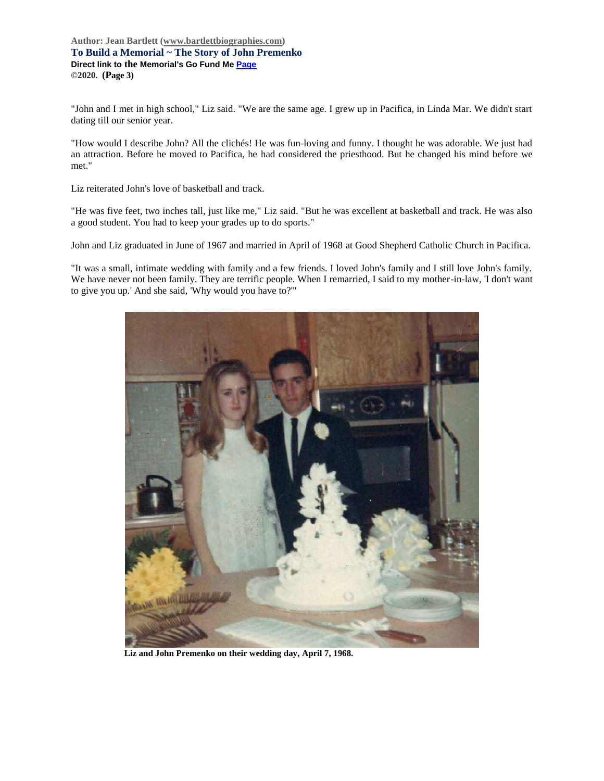**Author: Jean Bartlett [\(www.bartlettbiographies.com\)](http://www.bartlettbiographies.com/) To Build a Memorial ~ The Story of John Premenko Direct link to the Memorial's Go Fund M[e Page](https://www.gofundme.com/f/uyf8r-25000?utm_source=customer&utm_medium=copy_link-tip&utm_campaign=p_cp+share-sheet) ©2020. (Page 3)**

"John and I met in high school," Liz said. "We are the same age. I grew up in Pacifica, in Linda Mar. We didn't start dating till our senior year.

"How would I describe John? All the clichés! He was fun-loving and funny. I thought he was adorable. We just had an attraction. Before he moved to Pacifica, he had considered the priesthood. But he changed his mind before we met."

Liz reiterated John's love of basketball and track.

"He was five feet, two inches tall, just like me," Liz said. "But he was excellent at basketball and track. He was also a good student. You had to keep your grades up to do sports."

John and Liz graduated in June of 1967 and married in April of 1968 at Good Shepherd Catholic Church in Pacifica.

"It was a small, intimate wedding with family and a few friends. I loved John's family and I still love John's family. We have never not been family. They are terrific people. When I remarried, I said to my mother-in-law, 'I don't want to give you up.' And she said, 'Why would you have to?'"



**Liz and John Premenko on their wedding day, April 7, 1968.**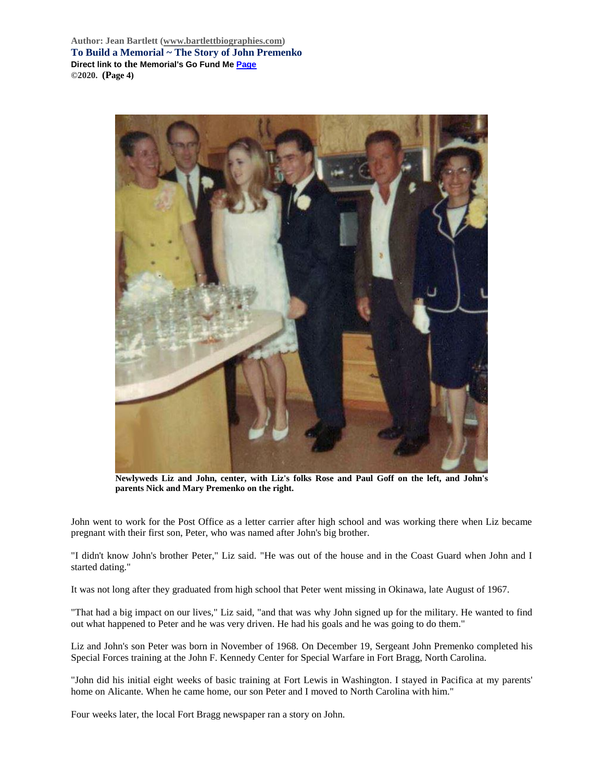**Author: Jean Bartlett [\(www.bartlettbiographies.com\)](http://www.bartlettbiographies.com/) To Build a Memorial ~ The Story of John Premenko Direct link to the Memorial's Go Fund M[e Page](https://www.gofundme.com/f/uyf8r-25000?utm_source=customer&utm_medium=copy_link-tip&utm_campaign=p_cp+share-sheet) ©2020. (Page 4)**



**Newlyweds Liz and John, center, with Liz's folks Rose and Paul Goff on the left, and John's parents Nick and Mary Premenko on the right.**

John went to work for the Post Office as a letter carrier after high school and was working there when Liz became pregnant with their first son, Peter, who was named after John's big brother.

"I didn't know John's brother Peter," Liz said. "He was out of the house and in the Coast Guard when John and I started dating."

It was not long after they graduated from high school that Peter went missing in Okinawa, late August of 1967.

"That had a big impact on our lives," Liz said, "and that was why John signed up for the military. He wanted to find out what happened to Peter and he was very driven. He had his goals and he was going to do them."

Liz and John's son Peter was born in November of 1968. On December 19, Sergeant John Premenko completed his Special Forces training at the John F. Kennedy Center for Special Warfare in Fort Bragg, North Carolina.

"John did his initial eight weeks of basic training at Fort Lewis in Washington. I stayed in Pacifica at my parents' home on Alicante. When he came home, our son Peter and I moved to North Carolina with him."

Four weeks later, the local Fort Bragg newspaper ran a story on John.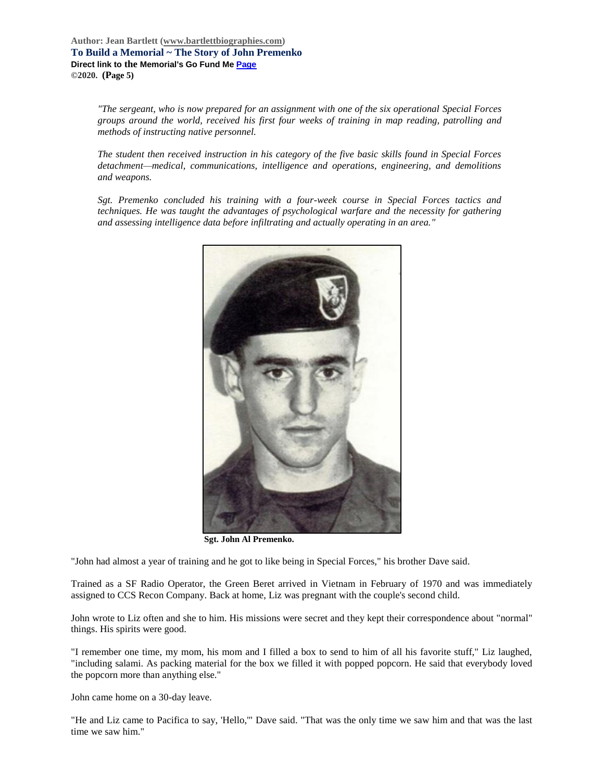*"The sergeant, who is now prepared for an assignment with one of the six operational Special Forces groups around the world, received his first four weeks of training in map reading, patrolling and methods of instructing native personnel.*

*The student then received instruction in his category of the five basic skills found in Special Forces detachment—medical, communications, intelligence and operations, engineering, and demolitions and weapons.*

*Sgt. Premenko concluded his training with a four-week course in Special Forces tactics and techniques. He was taught the advantages of psychological warfare and the necessity for gathering and assessing intelligence data before infiltrating and actually operating in an area."*



**Sgt. John Al Premenko.**

"John had almost a year of training and he got to like being in Special Forces," his brother Dave said.

Trained as a SF Radio Operator, the Green Beret arrived in Vietnam in February of 1970 and was immediately assigned to CCS Recon Company. Back at home, Liz was pregnant with the couple's second child.

John wrote to Liz often and she to him. His missions were secret and they kept their correspondence about "normal" things. His spirits were good.

"I remember one time, my mom, his mom and I filled a box to send to him of all his favorite stuff," Liz laughed, "including salami. As packing material for the box we filled it with popped popcorn. He said that everybody loved the popcorn more than anything else."

John came home on a 30-day leave.

"He and Liz came to Pacifica to say, 'Hello,'" Dave said. "That was the only time we saw him and that was the last time we saw him."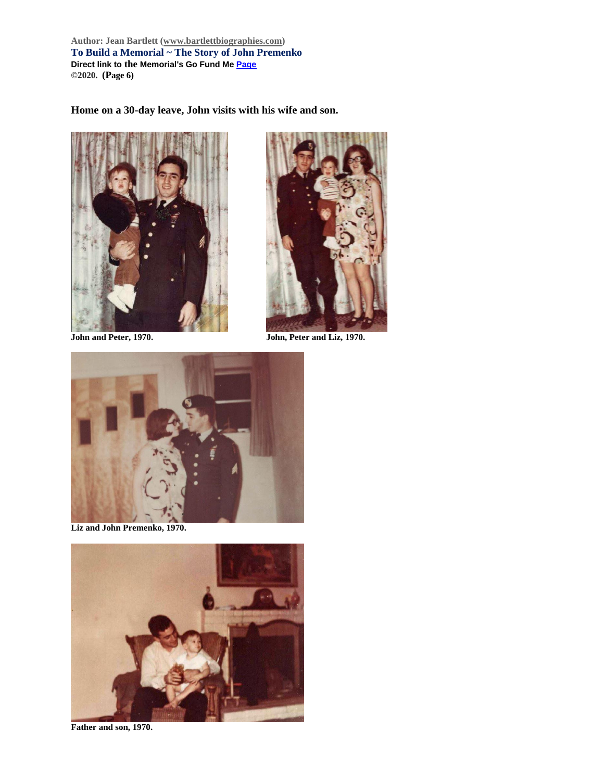**Author: Jean Bartlett [\(www.bartlettbiographies.com\)](http://www.bartlettbiographies.com/) To Build a Memorial ~ The Story of John Premenko Direct link to the Memorial's Go Fund M[e Page](https://www.gofundme.com/f/uyf8r-25000?utm_source=customer&utm_medium=copy_link-tip&utm_campaign=p_cp+share-sheet) ©2020. (Page 6)**

**Home on a 30-day leave, John visits with his wife and son.**





**John and Peter, 1970. John, Peter and Liz, 1970.**



**Liz and John Premenko, 1970.**



**Father and son, 1970.**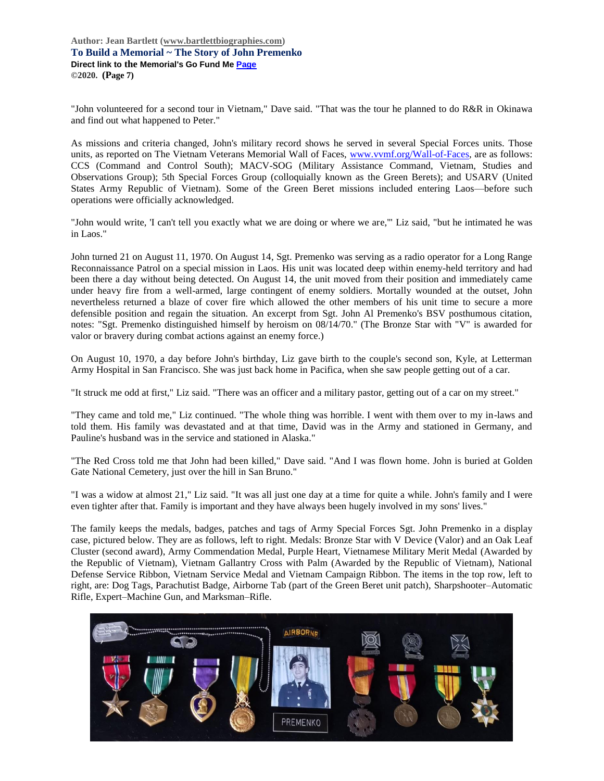**Author: Jean Bartlett [\(www.bartlettbiographies.com\)](http://www.bartlettbiographies.com/) To Build a Memorial ~ The Story of John Premenko Direct link to the Memorial's Go Fund M[e Page](https://www.gofundme.com/f/uyf8r-25000?utm_source=customer&utm_medium=copy_link-tip&utm_campaign=p_cp+share-sheet) ©2020. (Page 7)**

"John volunteered for a second tour in Vietnam," Dave said. "That was the tour he planned to do R&R in Okinawa and find out what happened to Peter."

As missions and criteria changed, John's military record shows he served in several Special Forces units. Those units, as reported on The Vietnam Veterans Memorial Wall of Faces, [www.vvmf.org/Wall-of-Faces,](http://www.vvmf.org/Wall-of-Faces) are as follows: CCS (Command and Control South); MACV-SOG (Military Assistance Command, Vietnam, Studies and Observations Group); 5th Special Forces Group (colloquially known as the Green Berets); and USARV (United States Army Republic of Vietnam). Some of the Green Beret missions included entering Laos—before such operations were officially acknowledged.

"John would write, 'I can't tell you exactly what we are doing or where we are,'" Liz said, "but he intimated he was in Laos."

John turned 21 on August 11, 1970. On August 14, Sgt. Premenko was serving as a radio operator for a Long Range Reconnaissance Patrol on a special mission in Laos. His unit was located deep within enemy-held territory and had been there a day without being detected. On August 14, the unit moved from their position and immediately came under heavy fire from a well-armed, large contingent of enemy soldiers. Mortally wounded at the outset, John nevertheless returned a blaze of cover fire which allowed the other members of his unit time to secure a more defensible position and regain the situation. An excerpt from Sgt. John Al Premenko's BSV posthumous citation, notes: "Sgt. Premenko distinguished himself by heroism on 08/14/70." (The Bronze Star with "V" is awarded for valor or bravery during combat actions against an enemy force.)

On August 10, 1970, a day before John's birthday, Liz gave birth to the couple's second son, Kyle, at Letterman Army Hospital in San Francisco. She was just back home in Pacifica, when she saw people getting out of a car.

"It struck me odd at first," Liz said. "There was an officer and a military pastor, getting out of a car on my street."

"They came and told me," Liz continued. "The whole thing was horrible. I went with them over to my in-laws and told them. His family was devastated and at that time, David was in the Army and stationed in Germany, and Pauline's husband was in the service and stationed in Alaska."

"The Red Cross told me that John had been killed," Dave said. "And I was flown home. John is buried at Golden Gate National Cemetery, just over the hill in San Bruno."

"I was a widow at almost 21," Liz said. "It was all just one day at a time for quite a while. John's family and I were even tighter after that. Family is important and they have always been hugely involved in my sons' lives."

The family keeps the medals, badges, patches and tags of Army Special Forces Sgt. John Premenko in a display case, pictured below. They are as follows, left to right. Medals: Bronze Star with V Device (Valor) and an Oak Leaf Cluster (second award), Army Commendation Medal, Purple Heart, Vietnamese Military Merit Medal (Awarded by the Republic of Vietnam), Vietnam Gallantry Cross with Palm (Awarded by the Republic of Vietnam), National Defense Service Ribbon, Vietnam Service Medal and Vietnam Campaign Ribbon. The items in the top row, left to right, are: Dog Tags, Parachutist Badge, Airborne Tab (part of the Green Beret unit patch), Sharpshooter–Automatic Rifle, Expert–Machine Gun, and Marksman–Rifle.